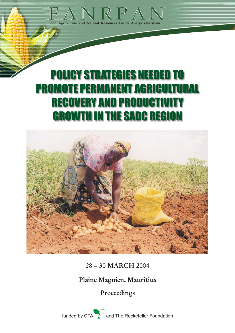

# POLICY STRATEGIES NEEDED TO PROMOTE PERMANENT AGRICULTURAL RECOVERY AND PRODUCTIVITY GROWTH IN THE SADC REGION



**28 – 30 MARCH 2004**

**Plaine Magnien, Mauritius**

**Proceedings**

funded by CTA **and The Rockefeller Foundation**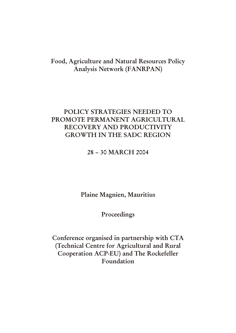## **Food, Agriculture and Natural Resources Policy Analysis Network (FANRPAN)**

# **POLICY STRATEGIES NEEDED TO PROMOTE PERMANENT AGRICULTURAL RECOVERY AND PRODUCTIVITY GROWTH IN THE SADC REGION**

**28 – 30 MARCH 2004**

**Plaine Magnien, Mauritius**

**Proceedings**

**Conference organised in partnership with CTA (Technical Centre for Agricultural and Rural Cooperation ACP-EU) and The Rockefeller Foundation**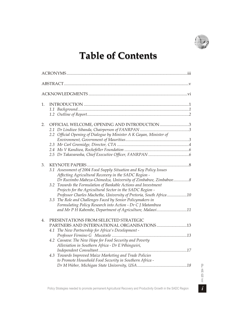

# **Table of Contents**

| 1. |                                                                     |  |
|----|---------------------------------------------------------------------|--|
|    |                                                                     |  |
|    |                                                                     |  |
| 2. | OFFICIAL WELCOME, OPENING AND INTRODUCTION 3                        |  |
|    |                                                                     |  |
|    | 2.2 Official Opening of Dialogue by Minister A K Gayan, Minister of |  |
|    |                                                                     |  |
|    |                                                                     |  |
|    |                                                                     |  |
|    |                                                                     |  |
| 3. |                                                                     |  |
|    | 3.1 Assessment of 2004 Food Supply Situation and Key Policy Issues  |  |
|    | Affecting Agricultural Recovery in the SADC Region -                |  |
|    | Dr Ruvimbo Mabeza-Chimedza, University of Zimbabwe, Zimbabwe8       |  |
|    | 3.2 Towards the Formulation of Bankable Actions and Investment      |  |
|    | Projects for the Agricultural Sector in the SADC Region -           |  |
|    | Professor Charles Machethe, University of Pretoria, South Africa 10 |  |
|    | 3.3 The Role and Challenges Faced by Senior Policymakers in         |  |
|    | Formulating Policy Research into Action - Dr C J Matambwa           |  |
|    | and Mr P H Kabembe, Department of Agriculture, Malawi11             |  |
| 4. | PRESENTATIONS FROM SELECTED STRATEGIC                               |  |
|    |                                                                     |  |
|    | 4.1 The New Partnership for Africa's Development -                  |  |
|    |                                                                     |  |
|    | 4.2 Cassava: The New Hope for Food Security and Poverty             |  |
|    | Alleviation in Southern Africa - Dr E Whingwiri,                    |  |
|    |                                                                     |  |
|    | 4.3 Towards Improved Maize Marketing and Trade Policies             |  |
|    |                                                                     |  |
|    | to Promote Household Food Security in Southern Africa -             |  |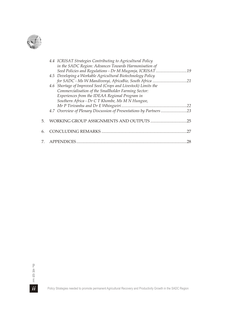

|    | 4.4 ICRISAT Strategies Contributing to Agricultural Policy      |     |
|----|-----------------------------------------------------------------|-----|
|    | in the SADC Region: Advances Towards Harmonisation of           |     |
|    | Seed Policies and Regulations - Dr M Mugonja, ICRISAT.          | 19  |
|    | 4.5 Developing a Workable Agricultural Biotechnology Policy     |     |
|    | for SADC - Ms W Mandivenyi, AfricaBio, South Africa             | 21  |
|    | 4.6 Shortage of Improved Seed (Crops and Livestock) Limits the  |     |
|    | Commercialisation of the Smallholder Farming Sector:            |     |
|    | Experiences from the IDEAA Regional Program in                  |     |
|    | Southern Africa - Dr C T Khombe, Ms M N Hungwe,                 |     |
|    |                                                                 | .22 |
|    | 4.7 Overview of Plenary Discussion of Presentations by Partners | 23  |
|    |                                                                 |     |
| 5. |                                                                 | 25  |
|    |                                                                 |     |
| 6. |                                                                 |     |
|    |                                                                 |     |
|    | <b>DICES</b>                                                    |     |
|    |                                                                 |     |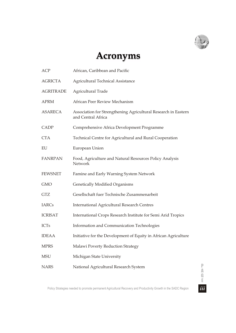

# **Acronyms**

| ACP              | African, Caribbean and Pacific                                                       |  |
|------------------|--------------------------------------------------------------------------------------|--|
| <b>AGRICTA</b>   | <b>Agricultural Technical Assistance</b>                                             |  |
| <b>AGRITRADE</b> | <b>Agricultural Trade</b>                                                            |  |
| <b>APRM</b>      | African Peer Review Mechanism                                                        |  |
| <b>ASARECA</b>   | Association for Strengthening Agricultural Research in Eastern<br>and Central Africa |  |
| CADP             | Comprehensive Africa Development Programme                                           |  |
| <b>CTA</b>       | Technical Centre for Agricultural and Rural Cooperation                              |  |
| EU               | European Union                                                                       |  |
| <b>FANRPAN</b>   | Food, Agriculture and Natural Resources Policy Analysis<br>Network                   |  |
| <b>FEWSNET</b>   | Famine and Early Warning System Network                                              |  |
| <b>GMO</b>       | <b>Genetically Modified Organisms</b>                                                |  |
| <b>GTZ</b>       | Gesellschaft fuer Technische Zusammenarbeit                                          |  |
| <b>IARCs</b>     | <b>International Agricultural Research Centres</b>                                   |  |
| <b>ICRISAT</b>   | International Crops Research Institute for Semi Arid Tropics                         |  |
| <b>ICTs</b>      | Information and Communication Technologies                                           |  |
| <b>IDEAA</b>     | Initiative for the Development of Equity in African Agriculture                      |  |
| <b>MPRS</b>      | <b>Malawi Poverty Reduction Strategy</b>                                             |  |
| <b>MSU</b>       | Michigan State University                                                            |  |
| <b>NARS</b>      | National Agricultural Research System                                                |  |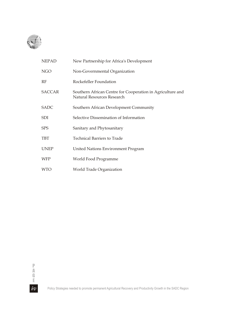

| <b>NEPAD</b>  | New Partnership for Africa's Development                                                 |
|---------------|------------------------------------------------------------------------------------------|
| <b>NGO</b>    | Non-Governmental Organization                                                            |
| RF            | Rockefeller Foundation                                                                   |
| <b>SACCAR</b> | Southern African Centre for Cooperation in Agriculture and<br>Natural Resources Research |
| <b>SADC</b>   | Southern African Development Community                                                   |
| <b>SDI</b>    | Selective Dissemination of Information                                                   |
| <b>SPS</b>    | Sanitary and Phytosanitary                                                               |
| TBT           | <b>Technical Barriers to Trade</b>                                                       |
| <b>UNEP</b>   | <b>United Nations Environment Program</b>                                                |
| <b>WFP</b>    | World Food Programme                                                                     |
| <b>WTO</b>    | World Trade Organization                                                                 |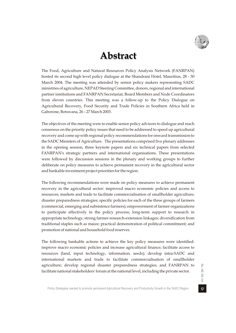

# **Abstract**

The Food, Agriculture and Natural Resources Policy Analysis Network (FANRPAN) hosted its second high level policy dialogue at the Shandrani Hotel, Mauritius, 28 - 30 March 2004. The meeting was attended by senior policy makers representing SADC ministries of agriculture, NEPAD Steering Committee, donors, regional and international partner institutions and FANRPAN Secretariat, Board Members and Node Coordinators from eleven countries. This meeting was a follow-up to the Policy Dialogue on Agricultural Recovery, Food Security and Trade Policies in Southern Africa held in Gaborone, Botswana, 26 – 27 March 2003.

The objectives of the meeting were to enable senior policy advisors to dialogue and reach consensus on the priority policy issues that need to be addressed to speed up agricultural recovery and come up with regional policy recommendations for onward transmission to the SADC Ministers of Agriculture. The presentations comprised five plenary addresses in the opening session, three keynote papers and six technical papers from selected FANRPAN's strategic partners and international organisations. These presentations were followed by discussion sessions in the plenary and working groups to further deliberate on policy measures to achieve permanent recovery in the agricultural sector and bankable investment project priorities for the region.

The following recommendations were made on policy measures to achieve permanent recovery in the agricultural sector: improved macro economic policies and access to resources; markets and trade to facilitate commercialisation of smallholder agriculture; disaster preparedness strategies; specific policies for each of the three groups of farmers (commercial, emerging and subsistence farmers); empowerment of farmer organizations to participate effectively in the policy process; long-term support to research in appropriate technology; strong farmer-research-extension linkages; diversification from traditional staples such as maize; practical demonstration of political commitment; and promotion of national and household food reserves.

The following bankable actions to achieve the key policy measures were identified: improve macro economic policies and increase agricultural finance; facilitate access to resources (land, input technology, information, seeds); develop intra-SADC and international markets and trade to facilitate commercialisation of smallholder agriculture; develop regional disaster preparedness strategies; and FANRPAN to facilitate national stakeholders' forum at the national level, including the private sector.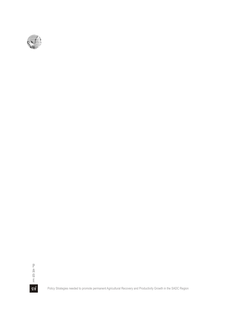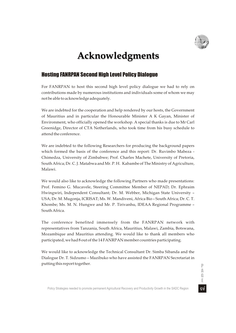

# **Acknowledgments**

### Hosting FANRPAN Second High Level Policy Dialogue

For FANRPAN to host this second high level policy dialogue we had to rely on contributions made by numerous institutions and individuals some of whom we may not be able to acknowledge adequately.

We are indebted for the cooperation and help rendered by our hosts, the Government of Mauritius and in particular the Honourable Minister A K Gayan, Minister of Environment, who officially opened the workshop. A special thanks is due to Mr Carl Greenidge, Director of CTA Netherlands, who took time from his busy schedule to attend the conference.

We are indebted to the following Researchers for producing the background papers which formed the basis of the conference and this report: Dr. Ruvimbo Mabeza - Chimedza, University of Zimbabwe; Prof. Charles Machete, University of Pretoria, South Africa; Dr. C. J. Matabwa and Mr. P. H. Kabambe of The Ministry of Agriculture, Malawi.

We would also like to acknowledge the following Partners who made presentations: Prof. Femino G. Mucavele, Steering Committee Member of NEPAD; Dr. Ephraim Hwingwiri, Independent Consultant; Dr. M. Webber, Michigan State University – USA; Dr. M. Mugonja, ICRISAT; Ms. W. Mandiveni, Africa Bio – South Africa; Dr. C. T. Khombe; Ms. M. N. Hungwe and Mr. P. Tirivanhu, IDEAA Regional Programme – South Africa.

The conference benefited immensely from the FANRPAN network with representatives from Tanzania, South Africa, Mauritius, Malawi, Zambia, Botswana, Mozambique and Mauritius attending. We would like to thank all members who participated, we had 8 out of the 14 FANRPAN member countries participating.

We would like to acknowledge the Technical Consultant Dr. Simba Sibanda and the Dialogue Dr. T. Sidzumo – Mazibuko who have assisted the FANRPAN Secretariat in putting this report together.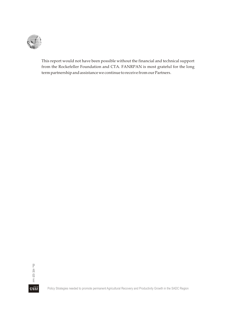

This report would not have been possible without the financial and technical support from the Rockefeller Foundation and CTA. FANRPAN is most grateful for the long term partnership and assistance we continue to receive from our Partners.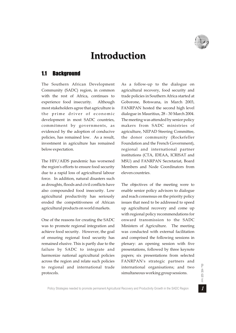

# **Introduction**

### 1.1 Background

The Southern African Development Community (SADC) region, in common with the rest of Africa, continues to experience food insecurity. Although most stakeholders agree that agriculture is the prime driver of economic development in most SADC countries, commitment by governments, as evidenced by the adoption of conducive policies, has remained low. As a result, investment in agriculture has remained below expectation.

The HIV/AIDS pandemic has worsened the region's efforts to ensure food security due to a rapid loss of agricultural labour force. In addition, natural disasters such as droughts, floods and civil conflicts have also compounded food insecurity. Low agricultural productivity has seriously eroded the competitiveness of African agricultural products on world markets.

One of the reasons for creating the SADC was to promote regional integration and achieve food security. However, the goal of ensuring regional food security has remained elusive. This is partly due to the failure by SADC to integrate and harmonize national agricultural policies across the region and relate such policies to regional and international trade protocols.

As a follow-up to the dialogue on agricultural recovery, food security and trade policies in Southern Africa started at Goborone, Botswana, in March 2003, FANRPAN hosted the second high level dialogue in Mauritius, 28 - 30 March 2004. The meeting was attended by senior policy makers from SADC ministries of agriculture, NEPAD Steering Committee, the donor community (Rockefeller Foundation and the French Government), regional and international partner institutions (CTA, IDEAA, ICRISAT and MSU) and FANRPAN Secretariat, Board Members and Node Coordinators from eleven countries.

The objectives of the meeting were to enable senior policy advisors to dialogue and reach consensus on the priority policy issues that need to be addressed to speed up agricultural recovery and come up with regional policy recommendations for onward transmission to the SADC Ministers of Agriculture. The meeting was conducted with external facilitation and comprised the following sessions in plenary: an opening session with five presentations, followed by three keynote papers; six presentations from selected FANRPAN's strategic partners and international organisations; and two simultaneous working group sessions.

P A G E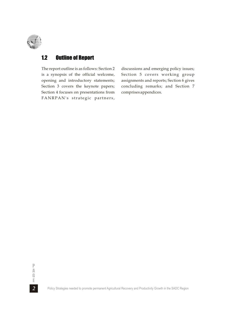

## 1.2 Outline of Report

The report outline is as follows: Section 2 is a synopsis of the official welcome, opening and introductory statements; Section 3 covers the keynote papers; Section 4 focuses on presentations from FANRPAN's strategic partners,

discussions and emerging policy issues; Section 5 covers working group assignments and reports; Section 6 gives concluding remarks; and Section 7 comprises appendices.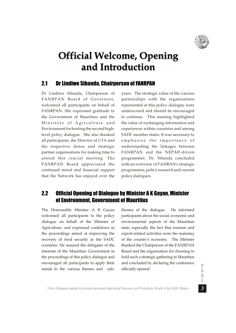

# **Official Welcome, Opening and Introduction**

### 2.1 Dr Lindiwe Sibanda, Chairperson of FANRPAN

Dr Lindiwe Sibanda, Chairperson of FANRPAN Board of Governors, welcomed all participants on behalf of FANRPAN. She expressed gratitude to the Government of Mauritius and the Ministers of Agriculture and Environment for hosting the second highlevel policy dialogue. She also thanked all participants, the Director of CTA and the respective donor and strategic partner organisations for making time to attend this crucial meeting. The FANRPAN Board appreciated the continued moral and financial support that the Network has enjoyed over the

years. The strategic value of the various partnerships with the organisations represented at this policy dialogue were underscored and should be encouraged to continue. This meeting highlighted the value of exchanging information and experiences within countries and among SADC member states. It was necessary to emphasise the importance of understanding the linkages between FANRPAN and the NEPAD-driven programmes. Dr. Sibanda concluded with an overview of FANRAN's strategic programmes, policy research and current policy dialogues.

## 2.2 Official Opening of Dialogue by Minister A K Gayan, Minister of Environment, Government of Mauritius

The Honourable Minister A K Gayan welcomed all participants to the policy dialogue on behalf of the Minister of Agriculture, and expressed confidence in the proceedings aimed at improving the recovery of food security in the SADC countries. He assured the delegates of the interests of the Mauritian Government in the proceedings of this policy dialogue and encouraged all participants to apply their encouraged an participants to apply their and concluded by declaring the contenence minds to the various themes and sub-<br>minds to the various themes and sub-

themes of the dialogue. He informed participants about the social, economic and environmental aspects of the Mauritian state, especially the fact that tourism and export-related activities were the mainstay of the country's economy. The Minister thanked the Chairperson of the FANRPAN Board and the organisation for choosing to hold such a strategic gathering in Mauritius and concluded by declaring the conference officially opened.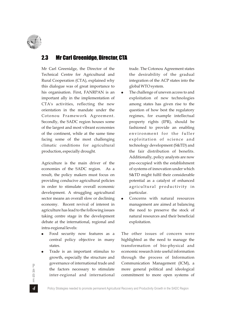

### 2.3 Mr Carl Greenidge, Director, CTA

Mr Carl Greenidge, the Director of the Technical Centre for Agricultural and Rural Cooperation (CTA), explained why this dialogue was of great importance to his organisation. First, FANRPAN is an important ally in the implementation of CTA's activities, reflecting the new orientation in the mandate under the Cotonou Framework Agreement. Secondly, the SADC region houses some of the largest and most vibrant economies of the continent, while at the same time facing some of the most challenging climatic conditions for agricultural production, especially drought.

Agriculture is the main driver of the economies of the SADC region. As a result, the policy makers must focus on providing conducive agricultural policies in order to stimulate overall economic development. A struggling agricultural sector means an overall slow or declining economy. Recent revival of interest in agriculture has lead to the following issues taking centre stage in the development debate at the international, regional and intra-regional levels:

- Food security now features as a central policy objective in many states.
- Trade is an important stimulus to growth, especially the structure and governance of international trade and the factors necessary to stimulate inter-regional and international

trade. The Cotonou Agreement states the desirability of the gradual integration of the ACP states into the global WTO system.

- The challenge of uneven access to and exploitation of new technologies among states has given rise to the question of how best the regulatory regimes, for example intellectual property rights (IPR), should be fashioned to provide an enabling environment for the fuller exploitation of science and technology development (S&TD) and the fair distribution of benefits. Additionally, policy analysts are now pre-occupied with the establishment of systems of innovation under which S&TD might fulfil their considerable potential as a catalyst of enhanced agricultural productivity in particular.
- Concerns with natural resources management are aimed at balancing the need to preserve the stock of natural resources and their beneficial exploitation.

The other issues of concern were highlighted as the need to manage the transformation of bio-physical and economic research into useful information through the process of Information Communication Management (ICM), a more general political and ideological commitment to more open systems of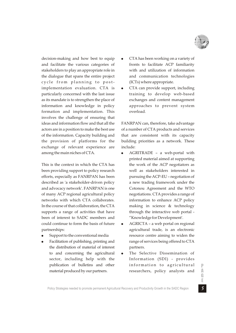

decision-making and how best to equip and facilitate the various categories of stakeholders to play an appropriate role in the dialogue that spans the entire project cycle from planning to postimplementation evaluation. CTA is particularly concerned with the last issue as its mandate is to strengthen the place of information and knowledge in policy formation and implementation. This involves the challenge of ensuring that ideas and information flow and that all the actors are in a position to make the best use of the information. Capacity building and the provision of platforms for the exchange of relevant experience are among the main niches of CTA.

This is the context in which the CTA has been providing support to policy research efforts, especially as FANRPAN has been described as 'a stakeholder-driven policy and advocacy network'. FANRPAN is one of many ACP regional agricultural policy networks with which CTA collaborates. In the course of that collaboration, the CTA supports a range of activities that have been of interest to SADC members and could continue to form the basis of future partnerships:

- Support to the conventional media
- Facilitation of publishing, printing and the distribution of material of interest to and concerning the agricultural sector, including help with the publication of bulletins and other material produced by our partners.
- CTA has been working on a variety of fronts to facilitate ACP familiarity with and utilization of information and communication technologies (ICTs) where appropriate.
- CTA can provide support, including training to develop web-based exchanges and content management approaches to prevent system overload.

FANRPAN can, therefore, take advantage of a number of CTA products and services that are consistent with its capacity building priorities as a network. These include:

- AGRITRADE a web-portal with printed material aimed at supporting the work of the ACP negotiators as well as stakeholders interested in pursuing the ACP-EU – negotiation of a new trading framework under the Cotonou Agreement and the WTO negotiations. CTA provides a range of information to enhance ACP policy making in science & technology through the interactive web portal - "Knowledge for Development'.
- AGRICTA a web portal on regional agricultural trade, is an electronic resource centre aiming to widen the range of services being offered to CTA partners.
- The Selective Dissemination of Information (SDI) - provides information to agricultural researchers, policy analysts and

P A G E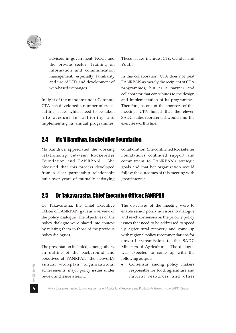

advisers in government, NGOs and the private sector. Training on information and communication management, especially familiarity and use of ICTs and development of web-based exchanges.

In light of the mandate under Cotonou, CTA has developed a number of crosscutting issues which need to be taken into account in fashioning and implementing its annual programmes. These issues include ICTs, Gender and Youth.

In this collaboration, CTA does not treat FANRPAN as merely the recipient of CTA programmes, but as a partner and collaborator that contributes to the design and implementation of its programmes. Therefore, as one of the sponsors of this meeting, CTA hoped that the eleven SADC states represented would find the exercise worthwhile.

### 2.4 Ms V Kandiwa, Rockefeller Foundation

Ms Kandiwa appreciated the working relationship between Rockefeller Foundation and FANRPAN. She observed that this process developed from a clear partnership relationship built over years of mutually satisfying collaboration. She confirmed Rockefeller Foundation's continued support and commitment to FANRPAN's strategic goals and that her organization would follow the outcomes of this meeting with great interest.

## 2.5 Dr Takavarasha, Chief Executive Officer, FANRPAN

Dr Takavarasha, the Chief Executive Officer of FANRPAN, gave an overview of the policy dialogue. The objectives of the policy dialogue were placed into context by relating them to those of the previous policy dialogues.

The presentation included, among others, an outline of the background and objectives of FANRPAN, the network's annual workplan, organizational achievements, major policy issues under review and lessons learnt.

The objectives of the meeting were to enable senior policy advisors to dialogue and reach consensus on the priority policy issues that need to be addressed to speed up agricultural recovery and come up with regional policy recommendations for onward transmission to the SADC Ministers of Agriculture. The dialogue was expected to come up with the following outputs:

 Consensus among policy makers responsible for food, agriculture and natural resources and other

A G E

P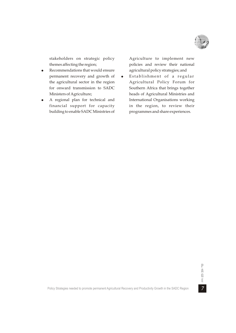

stakeholders on strategic policy themes affecting the region;

- Recommendations that would ensure permanent recovery and growth of the agricultural sector in the region for onward transmission to SADC Ministers of Agriculture;
- A regional plan for technical and financial support for capacity building to enable SADC Ministries of

Agriculture to implement new policies and review their national agricultural policy strategies; and

 Establishment of a regular Agricultural Policy Forum for Southern Africa that brings together heads of Agricultural Ministries and International Organisations working in the region, to review their programmes and share experiences.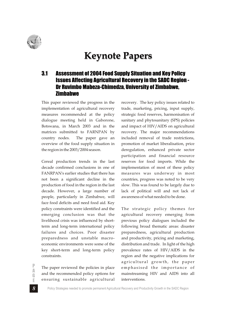

# **Keynote Papers**

### 3.1 Assessment of 2004 Food Supply Situation and Key Policy Issues Affecting Agricultural Recovery in the SADC Region - Dr Ruvimbo Mabeza-Chimedza, University of Zimbabwe, **Zimbabwe**

This paper reviewed the progress in the implementation of agricultural recovery measures recommended at the policy dialogue meeting held in Gaborone, Botswana, in March 2003 and in the matrices submitted to FARNPAN by country nodes. The paper gave an overview of the food supply situation in the region in the 2003/2004 season.

Cereal production trends in the last decade confirmed conclusions in one of FANRPAN's earlier studies that there has not been a significant decline in the production of food in the region in the last decade. However, a large number of people, particularly in Zimbabwe, will face food deficits and need food aid. Key policy constraints were identified and the emerging conclusion was that the livelihood crisis was influenced by shortterm and long-term international policy failures and choices. Poor disaster preparedness and unstable macroeconomic environments were some of the key short-term and long-term policy constraints.

The paper reviewed the policies in place and the recommended policy options for ensuring sustainable agricultural recovery. The key policy issues related to trade, marketing, pricing, input supply, strategic food reserves, harmonisation of sanitary and phytosanitary (SPS) policies and impact of HIV/AIDS on agricultural recovery. The major recommendations included removal of trade restrictions, promotion of market liberalisation, price deregulation, enhanced private sector participation and financial resource reserves for food imports. While the implementation of most of these policy measures was underway in most countries, progress was noted to be very slow. This was found to be largely due to lack of political will and not lack of awareness of what needed to be done.

The strategic policy themes for agricultural recovery emerging from previous policy dialogues included the following broad thematic areas: disaster preparedness, agricultural production and productivity, pricing and marketing, distribution and trade. In light of the high prevalence rates of HIV/AIDS in the region and the negative implications for agricultural growth, the paper emphasised the importance of mainstreaming HIV and AIDS into all interventions.

P A G E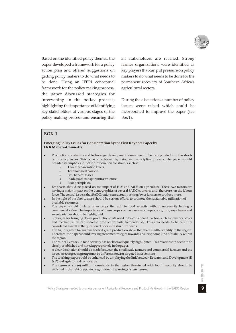

Based on the identified policy themes, the paper developed a framework for a policy action plan and offered suggestions on getting policy makers to do what needs to be done. Using an IFPRI conceptual framework for the policy making process, the paper discussed strategies for intervening in the policy process, highlighting the importance of identifying key stakeholders at various stages of the policy making process and ensuring that

all stakeholders are reached. Strong farmer organizations were identified as key players that can put pressure on policy makers to do what needs to be done for the permanent recovery of Southern Africa's agricultural sectors.

During the discussion, a number of policy issues were raised which could be incorporated to improve the paper (see Box 1).

#### **BOX 1**

#### **Emerging Policy Issues for Consideration by the First Keynote Paper by Dr R Mabeza-Chimedza**

- Production constraints and technology development issues need to be incorporated into the shortterm policy issues. This is better achieved by using multi-disciplinary teams. The paper should broaden its emphasis to include production constraints such as:
	- $\circ$ Low mechanization levels
	- $\circ$ Technological barriers
	- $\circ$ Post harvest losses
	- $\sim$ Inadequate transport infrastructure
	- -Poor permplasm
- Emphasis should be placed on the impact of HIV and AIDS on agriculture. These two factors are having a major impact on the demographics of several SADC countries and, therefore, on the labour force. The central issue is that SADC nations are actually asking fewer farmers to produce more.
- In the light of the above, there should be serious efforts to promote the sustainable utilization of available resources.
- The paper should include other crops that add to food security without necessarily having a commercial value. The importance of these crops such as cassava, cowpea, sorghum, soya beans and sweet potatoes should be highlighted.
- Strategies for bringing down production costs need to be considered. Factors such as transport costs and mechanization can increase production costs tremendously. This area needs to be carefully considered as well as the question of poor infrastructure needs.
- The figures given for surplus/deficit grain production show that there is little stability in the region. Therefore, the paper should investigate some strategies towards ensuring some kind of stability within the region.
- The role of livestock in food security has not been adequately highlighted. This relationship needs to be clearly established and noted appropriately in the paper.
- A clear distinction should be made between the small scale farmers and commercial farmers and the issues affecting each group must be differentiated for targeted interventions.
- The working paper could be enhanced by amplifying the link between Research and Development (R & D) and agricultural constraints.
- The figure of six (6) million households in the region threatened with food insecurity should be revisited in the light of updated regional early warning system figures.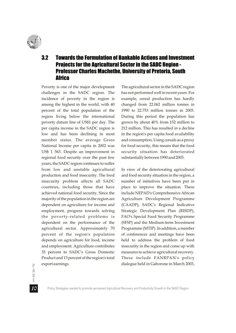

## 3.2 Towards the Formulation of Bankable Actions and Investment Projects for the Agricultural Sector in the SADC Region - Professor Charles Machethe, University of Pretoria, South **Africa**

Poverty is one of the major development challenges in the SADC region. The incidence of poverty in the region is among the highest in the world, with 40 percent of the total population of the region living below the international poverty datum line of US\$1 per day. The per capita income in the SADC region is low and has been declining in most member states. The average Gross National Income per capita in 2002 was US\$ 1 563. Despite an improvement in regional food security over the past few years, the SADC region continues to suffer from low and unstable agricultural production and food insecurity. The food insecurity problem affects all SADC countries, including those that have achieved national food security. Since the majority of the population in the region are dependent on agriculture for income and employment, progress towards solving the poverty-related problems is dependent on the performance of the agricultural sector. Approximately 70 percent of the region's population depends on agriculture for food, income and employment. Agriculture contributes 35 percent to SADC's Gross Domestic Product and 13 percent of the region's total export earnings.

The agricultural sector in the SADC region has not performed well in recent years. For example, cereal production has hardly changed from 22.062 million tonnes in 1990 to 22.753 million tonnes in 2003. During this period the population has grown by about 40% from 152 million to 212 million. This has resulted in a decline in the region's per capita food availability and consumption. Using cereals as a proxy for food security, this means that the food security situation has deteriorated substantially between 1990 and 2003.

In view of the deteriorating agricultural and food security situation in the region, a number of initiatives have been put in place to improve the situation. These include NEPAD's Comprehensive African Agriculture Development Programme (CAADP), SADC's Regional Indicative Strategic Development Plan (RISDP), FAO's Special Food Security Programme (SFSP) and the Medium-term Investment Programme (MTIP). In addition, a number of conferences and meetings have been held to address the problem of food insecurity in the region and come up with measures to achieve agricultural recovery. These include FANRPAN's policy dialogue held in Gaborone in March 2003,

P A G E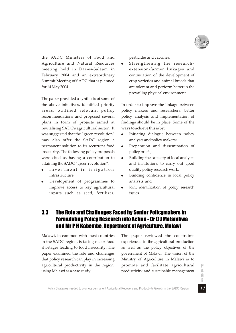

the SADC Ministers of Food and Agriculture and Natural Resources meeting held in Dar-es-Salaam in February 2004 and an extraordinary Summit Meeting of SADC that is planned for 14 May 2004.

The paper provided a synthesis of some of the above initiatives, identified priority areas, outlined relevant policy recommendations and proposed several plans in form of projects aimed at revitalising SADC's agricultural sector. It was suggested that the "green revolution" may also offer the SADC region a permanent solution to its recurrent food insecurity. The following policy proposals were cited as having a contribution to attaining the SADC "green revolution":

- Investment in irrigation infrastructure;
- Development of programmes to improve access to key agricultural inputs such as seed, fertilizer,

pesticides and vaccines;

 Strengthening the researchextension-farmer linkages and continuation of the development of crop varieties and animal breeds that are tolerant and perform better in the prevailing physical environment.

In order to improve the linkage between policy makers and researchers, better policy analysis and implementation of findings should be in place. Some of the ways to achieve this is by:

- Initiating dialogue between policy analysts and policy makers;
- Preparation and dissemination of policy briefs;
- Building the capacity of local analysts and institutions to carry out good quality policy research work;
- Building confidence in local policy analysts; and
- Joint identification of policy research issues.

## 3.3 The Role and Challenges Faced by Senior Policymakers in Formulating Policy Research into Action - Dr C J Matambwa and Mr P H Kabembe, Department of Agriculture, Malawi

Malawi, in common with most countries in the SADC region, is facing major food shortages leading to food insecurity. The paper examined the role and challenges that policy research can play in increasing agricultural productivity in the region, using Malawi as a case study.

The paper reviewed the constraints experienced in the agricultural production as well as the policy objectives of the government of Malawi. The vision of the Ministry of Agriculture in Malawi is to promote and facilitate agricultural productivity and sustainable management

P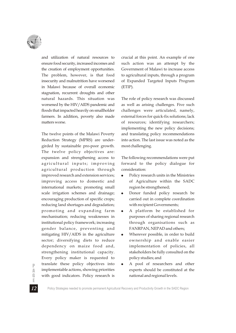

and utilization of natural resources to ensure food security, increased incomes and the creation of employment opportunities. The problem, however, is that food insecurity and malnutrition have worsened in Malawi because of overall economic stagnation, recurrent droughts and other natural hazards. This situation was worsened by the HIV/AIDS pandemic and floods that impacted heavily on smallholder farmers. In addition, poverty also made matters worse.

The twelve points of the Malawi Poverty Reduction Strategy (MPRS) are undergirded by sustainable pro-poor growth. The twelve policy objectives are: expansion and strengthening access to agricultural inputs; improving agricultural production through improved research and extension services; improving access to domestic and international markets; promoting small scale irrigation schemes and drainage; encouraging production of specific crops; reducing land shortages and degradation; promoting and expanding farm mechanisation; reducing weaknesses in institutional policy framework; increasing gender balance, preventing and mitigating HIV/AIDS in the agriculture sector; diversifying diets to reduce dependency on maize food and, strengthening institutional capacity. Every policy maker is requested to translate these policy objectives into implementable actions, showing priorities with good indicators. Policy research is

crucial at this point. An example of one such action was an attempt by the Government of Malawi to increase access to agricultural inputs, through a program of Expanded Targeted Inputs Program (ETIP).

The role of policy research was discussed as well as arising challenges. Five such challenges were articulated, namely, external forces for quick-fix solutions; lack of resources; identifying researchers; implementing the new policy decisions; and translating policy recommendations into action. The last issue was noted as the most challenging.

The following recommendations were put forward to the policy dialogue for consideration:

- Policy research units in the Ministries of Agriculture within the SADC region be strengthened;
- Donor funded policy research be carried out in complete coordination with recipient Governments;
- A platform be established for purposes of sharing regional research through organisations such as FANRPAN, NEPAD and others;
- Wherever possible, in order to build ownership and enable easier implementation of policies, all stakeholders be fully consulted on the policy studies; and
- A pool of researchers and other experts should be constituted at the national and regional levels.

A G E

P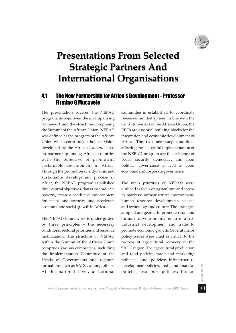

# **Presentations From Selected Strategic Partners And International Organisations**

### 4.1 The New Partnership for Africa's Development - Professor Firmino G Mucavele

The presentation covered the NEPAD program, its objectives, the accompanying framework and the structures comprising the Summit of the African Union. NEPAD was defined as the program of the African Union which constitutes a holistic vision developed by the African leaders, based on partnership among African countries with the objective of promoting sustainable development in Africa. Through the promotion of a dynamic and sustainable development process in Africa, the NEPAD program established three central objectives, that is to: eradicate poverty, create a conducive environment for peace and security and accelerate economic and social growth in Africa.

The NEPAD Framework is under-girded by three principles – the necessary conditions, sectoral priorities and resource mobilization. The structure of NEPAD within the Summit of the African Union comprises various committees, including the Implementation Committee of the Heads of Governments and regional formations such as SADC, among others. At the national level, a National

Committee is established to coordinate issues within that sphere. In line with the Constitutive Act of the African Union, the RECs are essential building blocks for the integration and economic development of Africa. The two necessary conditions affecting the successful implementation of the NEPAD program are the existence of peace, security, democracy and good political governance as well as good economic and corporate governance.

The main priorities of NEPAD were outlined as focus on agriculture and access to markets; infrastructure; environment; human resource development, science and technology and culture. The strategies adopted are geared to promote rural and human development, ensure agroindustrial development and trade to promote economic growth. Several major policy issues were cited as critical to the process of agricultural recovery in the SADC region. The agricultural production and food policies; trade and marketing policies; land policies; infrastructure development policies; credit and financial policies; transport policies; human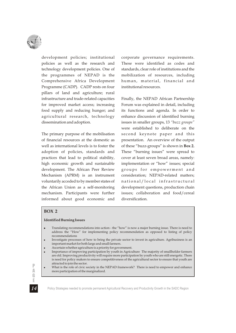

development policies; institutional policies as well as the research and technology development policies. One of the programmes of NEPAD is the Comprehensive Africa Development Programme (CADP). CADP rests on four pillars of land and agriculture; rural infrastructure and trade-related capacities for improved market access; increasing food supply and reducing hunger; and agricultural research, technology dissemination and adoption.

The primary purpose of the mobilisation of financial resources at the domestic as well as international levels is to foster the adoption of policies, standards and practices that lead to political stability, high economic growth and sustainable development. The African Peer Review Mechanism (APRM) is an instrument voluntarily acceded to by member states of the African Union as a self-monitoring mechanism. Participants were further informed about good economic and corporate governance requirements. These were identified as codes and standards, clear role of institutions and the mobilization of resources, including human, material, financial and institutional resources.

Finally, the NEPAD African Partnership Forum was explained in detail, including its functions and agenda. In order to enhance discussion of identified burning issues in smaller groups, 13 *"buzz groups"*  were established to deliberate on the second keynote paper and this presentation. An overview of the output of these "buzz-groups" is shown in **Box 2.**  These "burning issues" were spread to cover at least seven broad areas, namely: implementation or "how" issues; special groups for empowerment and consideration; NEPAD-related matters; national/local infrastructural development questions, production chain issues; collaboration and food/cereal diversification.

#### **BOX 2**

#### **Identified Burning Issues**

- Translating recommendations into action the "how" is now a major burning issue. There is need to address the "How" for implementing policy recommendation as opposed to listing of policy recommendations
- Investigate processes of how to bring the private sector to invest in agriculture. Agribusiness is an important market for both large and small farmers.
- Ascertain whether agriculture is a priority for government.
- Importance of improving participation by youth in Agriculture The majority of smallholder farmers are old. Improving productivity will require more participation by youth who are still energetic. There is need for policy makers to ensure competitiveness of the agricultural sector to ensure that youth are attracted to join the sector.
- What is the role of civic society in the NEPAD framework? There is need to empower and enhance more participation of the marginalized.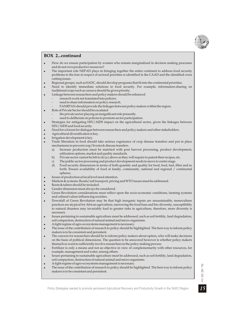

#### **BOX 2...continued**

- How do we ensure participation by women who remain marginalized in decision making processes and do not own productive resources?
- The important role NEPAD plays in bringing together the entire continent to address food security problems to the fore in respect of sectoral priorities is identified in the CAAD and the identified cross cutting issues.
- Regional groups, such as SADC, should develop programs that fit into the continental priorities.
- Need to identify immediate solutions to food security. For example, information-sharing on traditional crops such as cassava should be given priority.
- Linkage between researchers and policy makers should be enhanced
	- research work not translated into policies.
	- need to share information on policy research.
	- FANRPAN should provide the linkages between policy makers within the region.
- Role of Private Sector should be escalated
	- the private sector playing an insignificant role presently.
	- need to deliberate on policies to promote sector participation.
- Strategies for mitigating HIV/AIDS impact on the agricultural sector, given the linkages between HIV/AIDS and food security.
- Need for a forum for dialogue between researchers and policy makers and other stakeholders.
- Agricultural diversification is key.
- Irrigation development is key.
- Trade liberation in food should take serious cognisance of crop disease transfers and put in place mechanisms to prevent crop/livestock disease transfers.
	- a) Increase production must be matched with post harvest processing, product development, utilization options, market and quality standards.
	- b) Private sector cannot be left to do (a ) above as they will require to patent their recipes, etc.
	- c) The public sector processing and product development needs to move to centre stage.
	- d) Food security dimensions in terms of both quantity and quality for food, feed, fuel, fibre and so forth. Ensure availability of food at family, community, national and regional / continental spheres.
- Issues of production at local level need attention.
- Markets & systems: Roads/rail transport, pricing and WTO issues must be addressed.
- Roots & tubers should be included.
- Gender dimension must always be considered.
- Green Revolution considerations must reflect upon the socio-economic conditions, farming systems and cultural values influencing societies.
- Downfall of Green Revolution may be that high inorganic inputs are unsustainable, monoculture practices are atypical for African agriculture, narrowing the food base and bio-diversity, susceptibility to natural disasters may invariably lead to greater risks in agriculture, therefore, more diversity is necessary.
- Issues pertaining to sustainable agriculture must be addressed, such as soil fertility, land degradation, soil compaction, destruction of natural animal and micro-organisms.
- A tight regime of agro-ecosystems management is necessary.
- The issue of the contribution of research to policy should be highlighted. The best way to inform policy makers is to be consistent and persistent.
- The concern for researchers should be to inform policy makers about option, who will make decisions on the basis of political dimensions. The question to be answered however is whether policy makers themselves want to sufficiently involve researchers in the policy making process.
- Fertilizer is only a means and not an objective in view of complementarity with other resources, for example, management and water, among others.
- Issues pertaining to sustainable agriculture must be addressed, such as soil fertility, land degradation, soil compaction, destruction of natural animal and micro organisms.
- A tight regime of agro-ecosystems management is necessary.
- The issue of the contribution of research to policy should be highlighted. The best way to inform policy makers is to be consistent and persistent.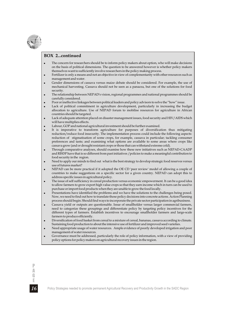

#### **BOX 2...continued**

- The concern for researchers should be to inform policy makers about option, who will make decisions on the basis of political dimensions. The question to be answered however is whether policy makers themselves want to sufficiently involve researchers in the policy making process.
- Fertilizer is only a means and not an objective in view of complementarity with other resources such as management and water.
- Gender dimensions of cassava versus maize debate should be considered. For example, the use of mechanical harvesting. Cassava should not be seen as a panacea, but one of the solutions for food security.
- The relationship between NEPAD's vision, regional programmes and national programmes should be carefully considered.
- Poor or ineffective linkages between political leaders and policy advisors to solve the "how" issue.
- Lack of political commitment in agriculture development, particularly in increasing the budget allocation to agriculture. Use of NEPAD forum to mobilise resources for agriculture in African countries should be targeted.
- Lack of adequate attention placed on disaster management issues, food security and HIV/AIDS which will have multiplies effects.
- Labour, GOP and national agricultural investment should be further examined.
- It is imperative to transform agriculture for purposes of diversification thus mitigating reduction/reduce food insecurity. The implementation process could include the following aspects: reduction of stigmatisation of some crops, for example, cassava in particular; tackling consumer preferences and taste; and examining what options are available to some areas where crops like cassava grow (and or drought resistant crops or those that can withstand extreme cold).
- Through comparative analyses, should examine how these new initiatives such as NEPAD-CAADP and RISDP have that is so different from past initiatives / policies to make a meaningful contribution to food security in the region.
- Need to apply our minds to find out what is the best strategy to develop strategic food reserves versus use of futures market?
- NEPAD can be more practical if it adopted the OE CD 'peer review' model of allowing a couple of countries to make suggestions on a specific sector for a given country. NEPAD can adopt this to address specific issues in agricultural policy.
- The issue of self sufficiency in cereal production versus economic empowerment. It can be a good idea to allow farmers to grow export high value crops so that they earn income which in turn can be used to purchase or import food products when they are unable to grow the food locally.
- Presentations have identified the problems and we have the solutions to the challenges being posed. Now, we need to find out how to translate those policy decisions into concrete actions. Action Planning process should begin. Should find ways to incorporate the private sector participation in agribusiness.
- Cassava yield or outputs are questionable. Issue of smallholder versus larger commercial farmers, need to categorize these groupings and differentiate policy by targeting policy incentives for the different types of farmers. Establish incentives to encourage smallholder farmers and large-scale farmers to produce efficiently.
- Diversification of food basket from cereal to a mixture of cereal, bananas, cassava according to climate. Sustaining food production to about the intensive use of fertilizer and improved seed varieties.
- Need appropriate usage of water resources. Ample evidence of poorly developed irrigation and poor management of water resources.
- Governance must be addressed, particularly the role of policy information, with a view of providing policy options for policy makers on agricultural recovery issues in the region.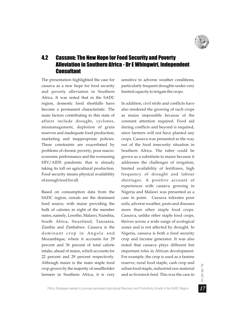

P A G E

## 4.2 Cassava: The New Hope for Food Security and Poverty Alleviation in Southern Africa - Dr E Whingwiri, Independent **Consultant**

The presentation highlighted the case for cassava as a new hope for food security and poverty alleviation in Southern Africa. It was noted that in the SADC region, domestic food shortfalls have become a permanent characteristic. The main factors contributing to this state of affairs include drought, cyclones, mismanagement, depletion of grain reserves and inadequate food production, marketing and inappropriate policies. These constraints are exacerbated by problems of chronic poverty, poor macroeconomic performance and the worsening HIV/AIDS pandemic that is already taking its toll on agricultural production. Food security means physical availability of enough food for all.

Based on consumption data from the SADC region, cereals are the dominant food source, with maize providing the bulk of calories in eight of the member states, namely, Lesotho, Malawi, Namibia, South Africa, Swaziland, Tanzania, Zambia and Zimbabwe. Cassava is the dominant crop in Angola and Mozambique, where it accounts for 29 percent and 36 percent of total calorie intake, ahead of maize, which accounts for 22 percent and 29 percent respectively. Although maize is the main staple food crop grown by the majority of smallholder farmers in Southern Africa, it is very

sensitive to adverse weather conditions, particularly frequent droughts under very limited capacity to irrigate the crops.

In addition, civil strife and conflicts have also rendered the growing of such crops as maize impossible because of the constant attention required. Food aid during conflicts and beyond is required, since farmers will not have planted any crops. Cassava was presented as the way out of the food insecurity situation in Southern Africa. The tuber could be grown as a substitute to maize because it addresses the challenges of irrigation, limited availability of fertilizers, high frequency of drought and labour shortages. A positive account of experiences with cassava growing in Nigeria and Malawi was presented as a case in point. Cassava tolerates poor soils, adverse weather, pests and diseases more than other staple food crops. Cassava, unlike other staple food crops, thrives across a wide range of ecological zones and is not affected by drought. In Nigeria, cassava is both a food security crop and income generator. It was also noted that cassava plays different but important roles in African development. For example, the crop is used as a famine reserve, rural food staple, cash crop and urban food staple, industrial raw material and as livestock feed. This was the case in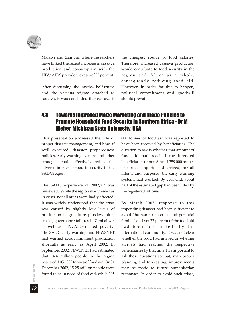

Malawi and Zambia, where researchers have linked the recent increase in cassava production and consumption with the HIV/AIDS prevalence rates of 25 percent.

After discussing the myths, half-truths and the various stigma attached to cassava, it was concluded that cassava is the cheapest source of food calories. Therefore, increased cassava production would contribute to food security in the region and Africa as a whole, consequently reducing food aid. However, in order for this to happen, political commitment and goodwill should prevail.

## 4.3 Towards Improved Maize Marketing and Trade Policies to Promote Household Food Security in Southern Africa - Dr M Weber, Michigan State University, USA

This presentation addressed the role of proper disaster management, and how, if well executed, disaster preparedness policies, early warning systems and other strategies could effectively reduce the adverse impact of food insecurity in the SADC region.

The SADC experience of 2002/03 was reviewed. While the region was viewed as in crisis, not all areas were badly affected. It was widely understood that the crisis was caused by slightly low levels of production in agriculture, plus low initial stocks, governance failures in Zimbabwe, as well as HIV/AIDS-related poverty. The SADC early warning and FEWSNET had warned about imminent production shortfalls as early as April 2002. In September 2002, FEWSNET had estimated that 14.4 million people in the region required 1 051 000 tonnes of food aid. By 31 December 2002, 15.25 million people were found to be in need of food aid, while 395

000 tonnes of food aid was reported to have been received by beneficiaries. The question to ask is whether that amount of food aid had reached the intended beneficiaries or not. Since 1 359 000 tonnes of formal imports had arrived, for all intents and purposes, the early warning systems had worked. By year-end, about half of the estimated gap had been filled by the registered inflows.

By March 2003, response to this impending disaster had been sufficient to avoid "humanitarian crisis and potential famine" and yet 77 percent of the food aid had been "committed" by the international community. It was not clear whether the food had arrived or whether arrivals had reached the respective beneficiaries by that time. It is important to ask these questions so that, with proper planning and forecasting, improvements may be made to future humanitarian responses. In order to avoid such crises,

P A G E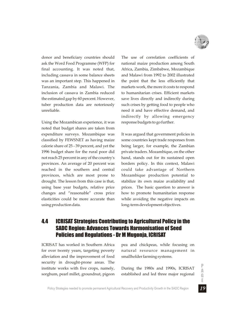

donor and beneficiary countries should ask the Word Food Programme (WFP) for final accounting. It was noted that, including cassava in some balance sheets was an important step. This happened in Tanzania, Zambia and Malawi. The inclusion of cassava in Zambia reduced the estimated gap by 60 percent. However, tuber production data are notoriously unreliable.

Using the Mozambican experience, it was noted that budget shares are taken from expenditure surveys. Mozambique was classified by FEWSNET as having maize calorie share of 25 - 39 percent, and yet the 1996 budget share for the rural poor did not reach 25 percent in any of the country's provinces. An average of 20 percent was reached in the southern and central provinces, which are most prone to drought. The lesson from this case is that, using base year budgets, relative price changes and "reasonable" cross price elasticities could be more accurate than using production data.

The use of correlation coefficients of national maize production among South Africa, Zambia, Zimbabwe, Mozambique and Malawi from 1992 to 2002 illustrated the point that the less efficiently that markets work, the more it costs to respond to humanitarian crises. Efficient markets save lives directly and indirectly during such crises by getting food to people who need it and have effective demand, and indirectly by allowing emergency response budgets to go further.

It was argued that government policies in some countries kept trade responses from being larger, for example, the Zambian private traders. Mozambique, on the other hand, stands out for its sustained open borders policy. In this context, Malawi could take advantage of Northern Mozambique production potential to stabilize its own maize availability and prices. The basic question to answer is how to promote humanitarian response while avoiding the negative impacts on long-term development objectives.

## 4.4 ICRISAT Strategies Contributing to Agricultural Policy in the SADC Region: Advances Towards Harmonisation of Seed Policies and Regulations - Dr M Mugonja, ICRISAT

ICRISAT has worked in Southern Africa for over twenty years, targeting poverty alleviation and the improvement of food security in drought-prone areas. The institute works with five crops, namely, sorghum, pearl millet, groundnut, pigeon pea and chickpeas, while focusing on natural resource management in smallholder farming systems.

During the 1980s and 1990s, ICRISAT established and led three major regional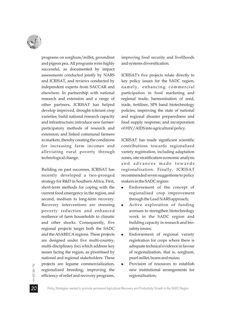

programs on sorghum/millet, groundnut and pigeon pea. All programs were highly successful, as documented by impact assessments conducted jointly by NARS and ICRISAT, and reviews conducted by independent experts from SACCAR and elsewhere. In partnership with national research and extension and a range of other partners, ICRISAT has helped develop improved, drought-tolerant crop varieties; build national research capacity and infrastructure; introduce new farmerparticipatory methods of research and extension; and linked communal farmers to markets, thereby creating the conditions for increasing farm incomes and alleviating rural poverty through technological change.

Building on past successes, ICRISAT has recently developed a two-pronged strategy for R&D in Southern Africa. First, short-term methods for coping with the current food emergency in the region, and second, medium to long-term recovery. Recovery interventions are stressing poverty reduction and enhanced resilience of farm households to climatic and other shocks. Consequently, five regional projects target both the SADC and the ASARECA regions. These projects are designed under five multi-country, multi-disciplinary foci which address key issues facing the region, as prioritised by national and regional stakeholders. These projects are legume commercialization, regionalized breeding, improving the efficiency of relief and recovery programs, improving food security and livelihoods and systems diversification.

ICRISAT's five projects relate directly to key policy issues for the SADC region, namely, enhancing commercial participation in food marketing and regional trade; harmonisation of seed, trade, fertiliser, SPS band biotechnology policies; improving the state of national and regional disaster preparedness and food supply response; and incorporation of HIV/AIDS into agricultural policy.

ICRISAT has made significant scientific contributions towards regionalized variety registration, including adaptation zones, site stratification economic analysis and advances made towards regionalisation. Finally, ICRISAT recommended seven suggestions to policy makers in the SADC region:

- Endorsement of the concept of regionalised crop improvement through the Lead NARS approach;
- Active exploration of funding avenues to strengthen biotechnology work in the SADC region and building capacity in research and biosafety issues;
- Endorsement of regional variety registration for crops where there is adequate technical evidence in favour of regionalisation, that is, sorghum, pearl millet, beans and maize;
- Provision of resources to establish new institutional arrangements for regionalisation;

A G E

P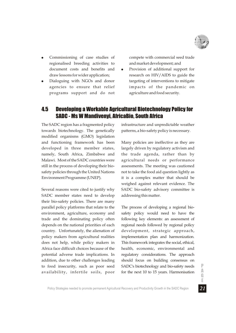

- Commissioning of case studies of regionalised breeding activities to document costs and benefits and draw lessons for wider application;
- Dialoguing with NGOs and donor agencies to ensure that relief programs support and do not

compete with commercial seed trade and market development; and

 Provision of additional support for research on HIV/AIDS to guide the targeting of interventions to mitigate impacts of the pandemic on agriculture and food security.

### 4.5 Developing a Workable Agricultural Biotechnology Policy for SADC - Ms W Mandivenyi, AfricaBio, South Africa

The SADC region has a fragmented policy towards biotechnology. The genetically modified organisms (GMO) legislation and functioning framework has been developed in three member states, namely, South Africa, Zimbabwe and Malawi. Most of the SADC countries were still in the process of developing their biosafety policies through the United Nations Environment Programme (UNEP).

Several reasons were cited to justify why SADC member states need to develop their bio-safety policies. There are many parallel policy platforms that relate to the environment, agriculture, economy and trade and the dominating policy often depends on the national priorities of each country. Unfortunately, the alienation of policy makers from agricultural realities does not help, while policy makers in Africa face difficult choices because of the potential adverse trade implications. In addition, due to other challenges leading to food insecurity, such as poor seed availability, infertile soils, poor

infrastructure and unpredictable weather patterns, a bio-safety policy is necessary.

Many policies are ineffective as they are largely driven by regulatory activism and the trade agenda, rather than by agricultural needs or performance assessments. The meeting was cautioned not to take the food aid question lightly as it is a complex matter that should be weighed against relevant evidence. The SADC bio-safety advisory committee is addressing this matter.

The process of developing a regional biosafety policy would need to have the following key elements: an assessment of regional needs followed by regional policy development, strategic approach, implementation plan and harmonization. This framework integrates the social, ethical, health, economic, environmental and regulatory considerations. The approach should focus on building consensus on SADC's biotechnology and bio-safety needs for the next 10 to 15 years. Harmonisation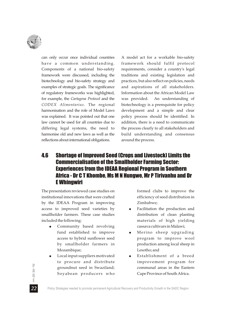

can only occur once individual countries have a common understanding. Components of a national bio-safety framework were discussed, including the biotechnology and bio-safety strategy and examples of strategic goals. The significance of regulatory frameworks was highlighted, for example, the *Cartagena Protocol* and the *CODEX Alimentarius.* The regional harmonisation and the role of Model Laws was explained. It was pointed out that one law cannot be used for all countries due to differing legal systems, the need to harmonise old and new laws as well as the reflections about international obligations.

A model act for a workable bio-safety framework should fulfil protocol requirements, consider a country's legal traditions and existing legislation and practices, but also reflect on policies, needs and aspirations of all stakeholders. Information about the African Model Law was provided. An understanding of biotechnology is a prerequisite for policy development and a simple and clear policy process should be identified. In addition, there is a need to communicate the process clearly to all stakeholders and build understanding and consensus around the process.

## 4.6 Shortage of Improved Seed (Crops and Livestock) Limits the Commercialisation of the Smallholder Farming Sector: Experiences from the IDEAA Regional Program in Southern Africa - Dr C T Khombe, Ms M N Hungwe, Mr P Tirivanhu and Dr E Whingwiri

The presentation reviewed case studies on institutional innovations that were crafted by the IDEAA Program in improving access to improved seed varieties by smallholder farmers. These case studies included the following:

- Community based revolving fund established to improve access to hybrid sunflower seed by smallholder farmers in Mozambique;
- Local input suppliers motivated to procure and distribute groundnut seed in Swaziland; Soyabean producers who

formed clubs to improve the efficiency of seed distribution in Zimbabwe;

- Facilitation the production and distribution of clean planting materials of high yielding cassava cultivars in Malawi;
- Merino sheep upgrading program to improve wool production among local sheep in Lesotho; and
- Establishment of a breed improvement program for communal areas in the Eastern Cape Province of South Africa.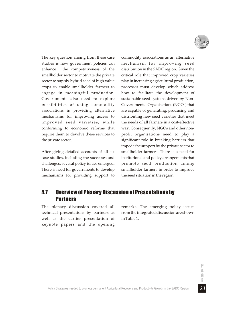

The key question arising from these case studies is how government policies can enhance the competitiveness of the smallholder sector to motivate the private sector to supply hybrid seed of high value crops to enable smallholder farmers to engage in meaningful production. Governments also need to explore possibilities of using commodity associations in providing alternative mechanisms for improving access to improved seed varieties, while conforming to economic reforms that require them to devolve these services to the private sector.

After giving detailed accounts of all six case studies, including the successes and challenges, several policy issues emerged. There is need for governments to develop mechanisms for providing support to

commodity associations as an alternative mechanism for improving seed distribution in the SADC region. Given the critical role that improved crop varieties play in increasing agricultural production, processes must develop which address how to facilitate the development of sustainable seed systems driven by Non-Governmental Organisations (NGOs) that are capable of generating, producing and distributing new seed varieties that meet the needs of all farmers in a cost-effective way. Consequently, NGOs and other nonprofit organisations need to play a significant role in breaking barriers that impede the support by the private sector to smallholder farmers. There is a need for institutional and policy arrangements that promote seed production among smallholder farmers in order to improve the seed situation in the region.

## 4.7 Overview of Plenary Discussion of Presentations by **Partners**

The plenary discussion covered all technical presentations by partners as well as the earlier presentation of keynote papers and the opening

remarks. The emerging policy issues from the integrated discussion are shown in Table 1.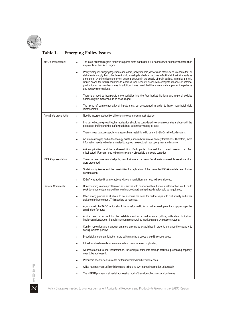

## **Table 1. Emerging Policy Issues**

| MSU's presentation:      | ٠         | The issue of strategic grain reserves requires more clarification. It is necessary to question whether it has<br>any merits for the SADC region                                                                                                                                                                                                                                                                                                                                                                                                                                      |
|--------------------------|-----------|--------------------------------------------------------------------------------------------------------------------------------------------------------------------------------------------------------------------------------------------------------------------------------------------------------------------------------------------------------------------------------------------------------------------------------------------------------------------------------------------------------------------------------------------------------------------------------------|
|                          | $\bullet$ | Policy dialogues bringing together researchers, policy makers, donors and others need to ensure that all<br>stakeholders apply their collective minds to investigate what can be done to facilitate intra-Africa trade as<br>a means of averting dependency on external sources in the supply of grain deficits. In reality, there is<br>limited scope for SADC countries to address food security issues with complete reliance on internal<br>production of the member states. In addition, it was noted that there were unclear production patterns<br>and negative correlations. |
|                          | $\bullet$ | There is a need to incorporate more variables into the food basket. National and regional policies<br>addressing this matter should be encouraged.                                                                                                                                                                                                                                                                                                                                                                                                                                   |
|                          | $\bullet$ | The issue of complementarity of inputs must be encouraged in order to have meaningful yield<br>improvements.                                                                                                                                                                                                                                                                                                                                                                                                                                                                         |
| AfricaBio's presentation | $\bullet$ | Need to incorporate traditional bio-technology into current strategies.                                                                                                                                                                                                                                                                                                                                                                                                                                                                                                              |
|                          | $\bullet$ | In order to become proactive, harmonisation should be considered now when countries are busy with the<br>process of drafting their bio-safety guidelines rather than waiting for later.                                                                                                                                                                                                                                                                                                                                                                                              |
|                          | $\bullet$ | There is need to address policy measures being established to deal with GMOs in the food system.                                                                                                                                                                                                                                                                                                                                                                                                                                                                                     |
|                          | $\bullet$ | An information gap on bio-technology exists, especially within civil society formations. Therefore, more<br>information needs to be disseminated to appropriate sectors in a properly managed manner.                                                                                                                                                                                                                                                                                                                                                                                |
|                          | $\bullet$ | African priorities must be addressed first. Participants observed that current research is often<br>misdirected. Farmers need to be given a variety of possible choices to consider.                                                                                                                                                                                                                                                                                                                                                                                                 |
| IDEAA's presentation:    | $\bullet$ | There is a need to review what policy conclusions can be drawn from the six successful case studies that<br>were presented.                                                                                                                                                                                                                                                                                                                                                                                                                                                          |
|                          | $\bullet$ | Sustainability issues and the possibilities for replication of the presented IDEAA models need further<br>consideration.                                                                                                                                                                                                                                                                                                                                                                                                                                                             |
|                          | $\bullet$ | IDEAA was advised that interactions with commercial farmers need to be considered.                                                                                                                                                                                                                                                                                                                                                                                                                                                                                                   |
| <b>General Comments:</b> | $\bullet$ | Donor funding is often problematic as it arrives with conditionalities, hence a better option would be to<br>seek development partners with whom improved partnership based deals could be negotiated;                                                                                                                                                                                                                                                                                                                                                                               |
|                          | $\bullet$ | Often wrong policies exist which do not espouse the need for partnerships with civil society and other<br>stakeholder involvement. This needs to be reversed.                                                                                                                                                                                                                                                                                                                                                                                                                        |
|                          | $\bullet$ | Agriculture in the SADC region should be transformed to focus on the development and upgrading of the<br>smallholder farmers;                                                                                                                                                                                                                                                                                                                                                                                                                                                        |
|                          | $\bullet$ | A dire need is evident for the establishment of a performance culture, with clear indicators,<br>implementation targets, financial mechanisms as well as monitoring and evaluation systems;                                                                                                                                                                                                                                                                                                                                                                                          |
|                          |           | Conflict resolution and management mechanisms be established in order to enhance the capacity to<br>solve problems quickly;                                                                                                                                                                                                                                                                                                                                                                                                                                                          |
|                          |           | Broad stakeholder participation in the policy making process should be encouraged;                                                                                                                                                                                                                                                                                                                                                                                                                                                                                                   |
|                          |           | Intra-Africa trade needs to be enhanced and become less complicated;                                                                                                                                                                                                                                                                                                                                                                                                                                                                                                                 |
|                          | $\bullet$ | All areas related to poor infrastructure, for example, transport, storage facilities, processing capacity,<br>need to be addressed;                                                                                                                                                                                                                                                                                                                                                                                                                                                  |
|                          | $\bullet$ | Producers need to be assisted to better understand market preferences;                                                                                                                                                                                                                                                                                                                                                                                                                                                                                                               |
|                          | $\bullet$ | Africa requires more self confidence and to build its own market information adequately;                                                                                                                                                                                                                                                                                                                                                                                                                                                                                             |
|                          | $\bullet$ | The NEPAD program is aimed at addressing most of these identified structural problems.                                                                                                                                                                                                                                                                                                                                                                                                                                                                                               |



P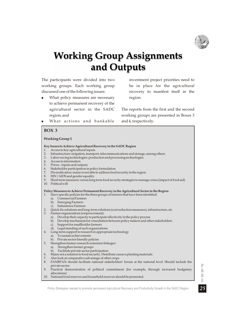

# **Working Group Assignments and Outputs**

The participants were divided into two working groups. Each working group discussed one of the following issues:

- What policy measures are necessary to achieve permanent recovery of the agricultural sector in the SADC region; and
- What actions and bankable

**BOX 3**

#### **Working Group 1**

#### **Key Issues to Achieve Agricultural Recovery in the SADC Region** 1. Access to key agricultural inputs

- 
- 2. Infrastructure: irrigation, transport, telecommunications and storage, among others<br>3. Labor-saving technologies: production and processing technologies Labor-saving technologies: production and processing technologies
- 4. Access to information
- 5. Prices inputs and outputs
- 6. Stakeholder participation in policy formulation
- Diversification: maize is not able to address food security in the region
- 8. HIV/AIDS and gender equality
- 9. Short term measures versus long term food security strategies to manage crises (impact of food aid)
- 10. Political will

#### **Policy Measures to Achieve Permanent Recovery in the Agricultural Sector in the Region**

- 1. Have specific policies for the three groups of farmers that have been identified:
	- a). Commercial Farmers
	- b). Emerging Farmers
	- c). Subsistence Farmers
- 2. Quick-fix solutions and long-term solutions (cost reduction measures), infrastructure, etc
- 3. Farmer organizations (empowerment):
	- a). Develop their capacity to participate effectively in the policy process
	- b). Develop mechanism for consultation between policy makers and other stakeholders
	- c). Support for smallholder farmers
	- d). Legal standing of such organizations
- 4. Long-term support to research in appropriate technology
	- a). To sustain achievements
	- b). Private sector friendly policies
- 5. Strengthen farmer-research-extension linkages:
	- a). Strengthen farmer groups
	- b). Facilitate private sector participation
- 6. Maize not a solution to food security. Distribute cassava planting materials.
- Also look at comparative advantage of other crops.
- 8. FANRPAN should facilitate national stakeholders' forum at the national level. Should include the private sector.
- 9. Practical demonstration of political commitment (for example, through increased budgetary allocations)
- 10. National food reserves and household reserves should be promoted.

Policy Strategies needed to promote permanent Agricultural Recovery and Productivity Growth in the SADC Region *25*

P A G E

investment project priorities need to be in place for the agricultural recovery to manifest itself in the region.

The reports from the first and the second working groups are presented in Boxes 3 and 4, respectively.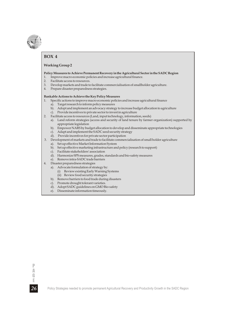

#### **BOX 4**

#### **Working Group 2**

#### **Policy Measures to Achieve Permanent Recovery in the Agricultural Sector in the SADC Region**

- 1. Improve macro economic policies and increase agricultural finance.
- 2. Facilitate access to resources.
- 3. Develop markets and trade to facilitate commercialisation of smallholder agriculture.
- 4. Prepare disaster preparedness strategies.

#### **Bankable Actions to Achieve the Key Policy Measures**

- 1. Specific actions to improve macro economic policies and increase agricultural finance
	- a). Target research to inform policy measures
	- b). Adopt and implement an advocacy strategy to increase budget allocation to agriculture
	- c). Provide incentives to private sector to invest in agriculture
- 2. Facilitate access to resources (Land, input technology, information, seeds)
	- a). Land reform strategies (access and security of land tenure by farmer organization) supported by appropriate legislation
		- b). Empower NARS by budget allocation to develop and disseminate appropriate technologies
	- c). Adapt and implement the SADC seed security strategy
	- d). Provide incentives for private sector participation
- 3. Development of markets and trade to facilitate commercialisation of small holder agriculture
	- a). Set up effective Market Information System
	- b). Set up effective marketing infrastructure and policy (research to support)
	- c). Facilitate stakeholders' association
	- d). Harmonize SPS measures, grades, standards and bio-safety measures
	- e). Remove intra-SADC trade barriers
- 4. Disaster preparedness strategies
	- a). Advocate formulation of strategy by:
		- (i) Review existing Early Warning Systems
		- (ii) Review food security strategies
	- b). Remove barriers to food trade during disasters
	- c). Promote drought tolerant varieties.
	- d). Adopt SADC guidelines on GMO Bio-safety
	- e). Disseminate information timeously.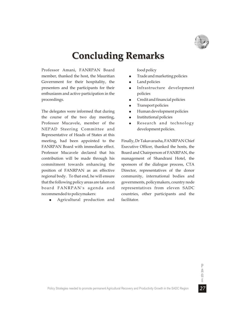

# **Concluding Remarks**

Professor Amani, FANRPAN Board member, thanked the host, the Mauritian Government for their hospitality, the presenters and the participants for their enthusiasm and active participation in the proceedings.

The delegates were informed that during the course of the two day meeting, Professor Mucavele, member of the NEPAD Steering Committee and Representative of Heads of States at this meeting, had been appointed to the FANRPAN Board with immediate effect. Professor Mucavele declared that his contribution will be made through his commitment towards enhancing the position of FANRPAN as an effective regional body. To that end, he will ensure that the following policy areas are taken on board FANRPAN's agenda and recommended to policymakers:

Agricultural production and

food policy

- Trade and marketing policies
- Land policies
- Infrastructure development policies
- **•** Credit and financial policies
- **•** Transport policies
- Human development policies
- Institutional policies
- Research and technology development policies.

Finally, Dr Takavarasha, FANRPAN Chief Executive Officer, thanked the hosts, the Board and Chairperson of FANRPAN, the management of Shandrani Hotel, the sponsors of the dialogue process, CTA Director, representatives of the donor community, international bodies and governments, policymakers, country node representatives from eleven SADC countries, other participants and the facilitator.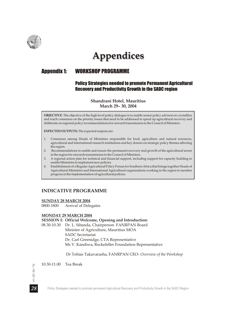

# **Appendices**

### Appendix 1: WORKSHOP PROGRAMME

#### Policy Strategies needed to promote Permanent Agricultural Recovery and Productivity Growth in the SADC region

**Shandrani Hotel, Mauritius March 29– 30, 2004**

**OBJECTIVE**: The objective of the high level policy dialogue is to enable senior policy advisors to crystallize and reach consensus on the priority issues that need to be addressed to speed up agricultural recovery and deliberate on regional policy recommendations for onward transmission to the Council of Ministers.

**EXPECTED OUTPUTS:** The expected outputs are:

- 1. Consensus among Heads of Ministries responsible for food, agriculture and natural resources, agricultural and international research institutions and key donors on strategic policy themes affecting the region.
- 2. Recommendations to enable and ensure the permanent recovery and growth of the agricultural sector in the region for onwards transmission to the Council of Ministers.
- 3. A regional action plan for technical and financial support, including support for capacity building to enable Ministries to implement new policies
- 4. Establishment of a Regular Agricultural Policy Forum for Southern Africa that brings together Heads of Agricultural Ministries and International Agricultural organizations working in the region to monitor progress in the implementation of agricultural policies.

#### **INDICATIVE PROGRAMME**

#### **SUNDAY 28 MARCH 2004**

0800-1800 Arrival of Delegates

#### **MONDAY 29 MARCH 2004**

#### **SESSION I: Official Welcome, Opening and Introduction:**

08.30-10.30 Dr. L. Sibanda, Chairperson FANRPAN Board Minister of Agriculture, Mauritius MOA SADC Secretariat Dr. Carl Greenidge, CTA Representative Ms V. Kandiwa, Rockefeller Foundation Representative

Dr Tobias Takavarasha, FANRPAN CEO- *Overview of the Workshop*

10.30-11.00 Tea Break

P A G E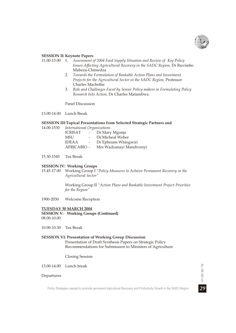

#### **SESSION II: Keynote Papers**

- 11.00-13.00 1. *Assessment of 2004 Food Supply Situation and Review of Key Policy Issues Affecting Agricultural Recovery in the SADC Region,* Dr Ruvimbo Mabeza-Chimedza
	- 2. *Towards the Formulation of Bankable Action Plans and Investment Projects for the Agricultural Sector in the SADC Region,* Professor Charles Machethe
	- 3. *Role and Challenges Faced by Senior Policy makers in Formulating Policy Research Into Action,* Dr Charles Matambwa

Panel Discussion

13.00-14.00 Lunch Break

#### **SESSION III:Topical Presentations from Selected Strategic Partners and**

- 14.00-1530 *International Organizations* ICRISAT - Dr Mary Mgonja MSU - Dr Micheal Weber IDEAA - Dr Ephraim Whingwiri AFRICABIO - Mrs Wadzanayi Mandivenyi
- 15.30-1545 Tea Break

#### **SESSION IV: Working Groups**

15.45-17.00 Working Group I *"Policy Measures to Achieve Permanent Recovery in the Agricultural Sector"*

> Working Group II *"Action Plans and Bankable Investment Project Priorities for the Region"*

1900-2030 Welcome Reception

#### **TUESDAY 30 MARCH 2004**

**SESSION V: Working Groups (Continued)** 08.00-10.00

10.00-10.30 Tea Break

#### **SESSION VI: Presentation of Working Group Discussion**

Presentation of Draft Synthesis Papers on Strategic Policy Recommendations for Submission to Ministers of Agriculture

Closing Session

13.00-14.00 Lunch break

#### Departures

Policy Strategies needed to promote permanent Agricultural Recovery and Productivity Growth in the SADC Region **29** 

P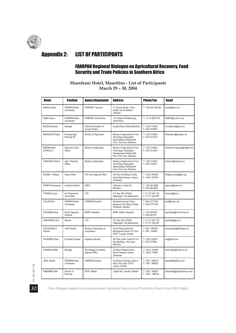

## Appendix 2: LIST OF PARTICIPANTS

### FANRPAN Regional Dialogue on Agricultural Recovery, Food Security and Trade Policies in Southern Africa

**Shandrani Hotel, Mauritius - List of Participants March 29 – 30, 2004**

| Name                          | <b>Position</b>                    | <b>Agency/Organisation</b>               | <b>Address</b>                                                                                                       | <b>Phone/Fax</b>                     | <b>Email</b>                 |
|-------------------------------|------------------------------------|------------------------------------------|----------------------------------------------------------------------------------------------------------------------|--------------------------------------|------------------------------|
| <b>AMANI Haidari</b>          | <b>FANRPAN Node</b><br>Coordinator | FANRPAN Tanzania                         | 51 Uporoto Street, Ursino<br>Estate, Dar Es Salaam,<br>Tanzania                                                      | T-255-222-760-260                    | amani@esrf.or.tz             |
| <b>ANIM Francis</b>           | <b>FANRPAN Node</b><br>Coordinator | FANRPAN South Africa                     | 113 Grobler St, Pietersburg,<br>South Africa                                                                         | T-27-15-268-3373                     | ANIMF@unorth.ac.za           |
| <b>BAGHA Soondur</b>          | Manager                            | National Federation of<br>Young Farmers  | Coastal Road, Beelle Mauritius                                                                                       | T - 230 4151805<br>F-230 4151805     | Youngfarmer@mul.mu           |
| <b>BAHADOOR Rajen</b>         | Principal Agric.<br>Planning Off.  | Ministry Of Agriculture                  | Ministry of Agriculture & Food<br>Technology, Rengnaden<br>Seenewaseen Building 8th<br>Floor, Port Louis, Mauritius. | T - 230 2115623<br>F-230 212 4427    | Rbahadoor@mail.gov.mu        |
| BRIZMOHUM-<br>GOPAUL R.       | Research & Dev.<br>Officer         | Ministry Of Agriculture                  | Ministry of Agriculture & Food<br>Technology, Rengnaden<br>Seenewaseen Building 8th<br>Floor. Port Louis. Mauritius  | T-230 2115623<br>F-230 212 4427      | rbrizmohun-gopaul@mailgov.mu |
| CHIKHURI Krishna              | Agric. Planning<br>Officer         | Ministry of Agriculture                  | Ministry of Agriculture & Food<br>Technology, Rengnaden<br>Seenewaseen Building 8th<br>Floor. Port Louis. Mauritius  | T - 230 2115623<br>F-230 2124427     | Kchikuni@mail.gov.mu         |
| <b>DARDEL Phillppe</b>        | Policy Officer                     | FAO Sub Regional Office                  | 3rd Floor Old Mutual Centre.<br>Jason Moyo Avenue, Harare,<br>Zimbabwe                                               | T - 263 4 253655<br>F-2634700724     | Philippe.Dardel@fao.org      |
| <b>DOMUR Dhaneswar</b>        | <b>Assistant Director</b>          | AREO                                     | Q Bornes, st Jean Rd,<br><b>Mauritius</b>                                                                            | T-230 460 3885<br>F-230 464 8809     | arenadc@intnet.mu            |
| <b>FONSECA Jose</b>           | Snr Programme<br>Coordinator       | <b>CTA</b>                               | P.O. Box 360, 6700AJ<br>Wagenigen, The Netherlands                                                                   | T-31 317 467 133<br>F-31 317 460 067 | fonseca@cta.nl               |
| <b>FULLER Ben</b>             | <b>FANRPAN Node</b><br>Coordinator | <b>FANRPAN Namibia</b>                   | Namibia Economic Policy<br>Research Unit, Banhof Street,<br>Windhoek, Namibia                                        | T-264 61277500<br>F-264 61277500     | benf@nepru.org               |
| <b>GOVINDEN Noel</b>          | Senior Research<br>Scientist       | <b>MSIRI / Mauritius</b>                 | MSIRI, Reduit, Mauritius                                                                                             | T-230 4541061<br>F-230 4541971       | ngovinden@msiri.intnet.mu    |
| <b>GREENIDGE Carl</b>         | Director                           | <b>CTA</b>                               | P.O. Box 360, 6700AJ<br>Wagenigen, The Netherlands                                                                   | T-31 317 467 133<br>F-31 317 460 067 | greenidge@cta.nl             |
| <b>HACHONGELA</b><br>Patricia | <b>Chief Planner</b>               | Ministry of Agriculture &<br>Cooperative | Policy Planning Branch,<br>Mukungushi House, P.O. Box<br>50197, Lusaka, Zambia                                       | T-260 1 250504<br>F-260 1 254661     | phachongela@maff.gov.zm      |
| <b>HAUZAREE Rishi</b>         | Principal Engineer                 | <b>Irrigation Authority</b>              | 5th Floor, Edith Cavell St. Fon<br>Sing Building - Port Louis,<br><b>Mauritius</b>                                   | T - 230 2125391<br>F-230 2127652     | irrig@intent.mu              |
| <b>HUNGWE Mabel</b>           | Manager                            | WK Kellogg Foundation<br>National Office | 42 Mount Pleasant Drive.<br>Mount Pleasant, Harare,<br>Zimbabwe                                                      | T-2634745266<br>F-2634745261         | mnhungwe@mweb.co.zw          |
| <b>JERE Gabriel</b>           | <b>FANRPAN Node</b><br>Coordinator | <b>FANRPAN Zambia</b>                    | University of Zambia, Dept of<br>Agric. Ecos, Box 32379,<br>Lusaka, Zambia                                           | T - 260 1 295419<br>F-260 1295655    | gabbyj90@yahoo.com           |
| <b>KABAMBE Peter</b>          | Director of<br>Planning            | MOA - Malawi                             | Capital Hill, Lilongwe, Malawi                                                                                       | T-2651789033<br>F-2651788738         | kabambep@agriculture.gov.mw  |

P A G

E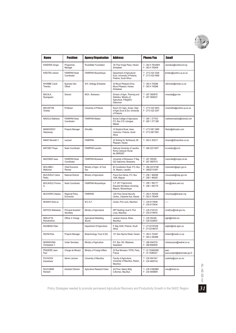

| Name                            | <b>Position</b>                    | <b>Agency/Organisation</b>       | <b>Address</b>                                                                                   | <b>Phone/Fax</b>                       | <b>Email</b>                            |
|---------------------------------|------------------------------------|----------------------------------|--------------------------------------------------------------------------------------------------|----------------------------------------|-----------------------------------------|
| KANDIWA Vongai                  | Programme<br>Manager               | Rockefeller Foundation           | 7th Floor Kopje Plaza, Harare<br>Zimbabwe                                                        | T-263 4 792348/9<br>F-2634792409       | vkandiwa@rockfound.org                  |
| <b>KIRSTEN Johann</b>           | <b>FANRPAN Node</b><br>Coordinator | <b>FANRPAN Mozambique</b>        | Department of Agricultural<br>Ecos, University of Pretoria,<br>Pretoria. South Africa            | T - 2712 420 3248<br>F - 2712 420 4958 | jkirsten@postino.up.ac.za               |
| <b>KHOMBE Caroll</b><br>Themba  | Business Dev.<br>Officer           | W.K. Kellogg Zimbabwe            | 42 Mount Pleasant Drive,<br>Mount Pleasant, Harare,<br>Zimbabwe                                  | T-2634745266<br>F-2634745266           | ctkhombe@mweb.co.zw                     |
| <b>MACALA</b><br>Nyangayezi     | Director                           | MOA - Botswana                   | Division of Agric. Planning and<br>Statistics, Ministry of<br>Agriculture, P.Bag003,<br>Gaborone | T - 267 3959576<br>F - 267 3926027     | nmacala@gov.bw                          |
| MACHETHE<br>Charles             | Professor                          | University of Pretoria           | Room 231 Agric. Annex, Dept<br>of Agric.Ecos & Ext, University<br>of Pretoria                    | T - 2712 420 4833<br>F - 2712 420 3247 | cmachethe@postino.up.ac.za              |
| <b>MADOLA Mathews</b>           | <b>FANRPAN Node</b><br>Coordinator | <b>FANRPAN Malawi</b>            | Bunda College of Agriculture,<br>P.O. Box 219, Lilongwe,<br>Malawi                               | T-2651277433<br>F-265 1277 286         | mathewsmadola@hotmail.com               |
| <b>MANDIVENYI</b><br>Wadzanayi  | Projects Manager                   | AfricaBio                        | 15 Stopford Road, Irene,<br>Centurion, Pretoria, South<br>Africa                                 | T-2712 667 2689<br>F-2712 6671920      | Wadzi@africabio.com                     |
| MANO Renneth T.                 | Lecturer                           | <b>FANRPAN</b>                   | 22 Woking Dr, Northwood, Mt<br>Pleasant, Harare                                                  | T - 263 4 303211                       | rtmano@africaonline.co.zw               |
| MATOBO Thope                    | Node Coordinator                   | <b>FANRPAN Lesotho</b>           | National University of Lesotho,<br>Roma Camputs House<br>No.SRR0057                              | T-266 22213057                         | ta.matobo@nul.ls                        |
| MAZONDE Isaac                   | <b>FANRPAN Node</b><br>Coordinator | <b>FANRPAN Botswana</b>          | University of Botswana, P Bag<br>022 Gaborone, Botswana                                          | T - 267 355294<br>F-267 3957573        | mazondei@mopipi.ub.bw                   |
| <b>MOLUMELI</b><br>Mathoriso    | Chief Economic<br>Planner          | Ministry of Agric. & Food<br>Sec | 80 Constitution Road, P.O. Box<br>24, Maseru, Lesotho                                            | T-266 22310186<br>F-26622131691        | molumelim@agric.gov.ls                  |
| <b>MUCAVELE Carlos</b><br>Pedro | National Director                  | Ministry of Agriculture          | Praca Dos Herois, P.O. Box<br>1406, Maputo                                                       | T-258 1460069<br>F-258 1460261         | cmucavele@map.gov.mz                    |
| MUCAVELE Firmino<br>G.          | Node Coordinator                   | FANRPAN Mozambique               | C.P. 257 F.Agronomia,<br>Eduardo Mondlane University,<br>Maputo, Mozambique.                     | T-258 1492177<br>F-258 1492176         | mino@zebra.uem.mz                       |
| MUCHOPA Chiedza                 | Regional Policy<br>Economist       | <b>FANRPAN</b>                   | 12th Floor Social Security<br>Centre, J.Nyerere Ave, Harare                                      | T-2634792348<br>F-2634792409           | cmuchopa@fanrpan.org                    |
| MUNIAH Soob as                  |                                    | M.C.A.F.                         | Canda, Port Louis, Mauritius                                                                     | T-230 6174949<br>F-230 6179434         |                                         |
| NATHOO Maheeree                 | Principal Assistant<br>Secretary   | Ministry of Agricultural         | NPF Building Level 9, Port<br>Louis, Mauritius                                                   | T-230 2104123<br>F-230 2116916         | mnathoo@mail.gov.mu                     |
| NEELAYYA<br>Ramukrishna         | Officer in Charge                  | Agricultural Marketing<br>Bound  | Leclezio Avenue, Moka,<br>Mauritius                                                              | T-230 253326<br>F-230 4334837          | agbd@intnet.mu                          |
| <b>NGOBESE Peter</b>            |                                    | Department Of Agriculture        | P. Bag X250, Pretoria, South<br>Africa                                                           | T-27123197008<br>F-27123196707         | adgfsd@nda.agric.za                     |
| <b>NGONI Rufu</b>               | Projects Manager                   | Biotechnology Trust of Zim.      | 151 Sam Njoma Street, Harare                                                                     | T-2634703481<br>F-2634250468           | biotech@mweb.co.zw                      |
| NKWANYANA<br>Christopher T.     | <b>Under Secretary</b>             | Ministry of Agriculture          | P.O. Box 162, Mbabane,<br>Swaziland                                                              | T - 268 4040724<br>F-268 6062604       | ctnkwanyana@realnet.co.sz               |
| PRADERE Jean-<br>Paul           | Charge de Mission                  | Ministry of Foreign Affairs      | 20 Rue Monsieur 75700, Paris,<br>France                                                          | T-33 153693068<br>F-33 15369331        | jean-<br>paul.pradere@diplomatie.gov.fr |
| <b>PUCHOOA</b><br>Daneshwar     | Senior Lecturer                    | University of Mauritius          | Faculty of Agriculture,<br>University of Mauritius, Reduit,<br>Mauritius                         | T-230 4541041<br>F-230 4655743         | sudeshp@uom.ac.mu                       |
| RAJCUMAR<br>Ramesh              | <b>Assistant Director</b>          | Agriculture Research Exten.      | 3rd Floor, Newry Bldg,<br>Q.Bornes, Mauritius                                                    | T-230 41663885<br>F-230 4648809        | oreu@intnet.mu                          |

P A G

E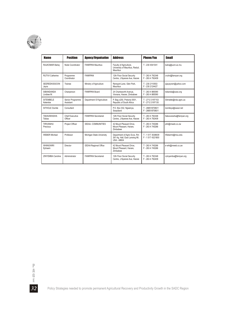

| <b>Name</b>                   | <b>Position</b>                   | <b>Agency/Organisation</b>   | <b>Address</b>                                                                       | <b>Phone/Fax</b>                   | <b>Email</b>             |
|-------------------------------|-----------------------------------|------------------------------|--------------------------------------------------------------------------------------|------------------------------------|--------------------------|
| RAJKOMAR Balrai               | Node Coordinator                  | <b>FANRPAN Mauritius</b>     | Faculty of Agriculture,<br>University of Mauritius, Reduit,<br><b>Mauritius</b>      | T - 230 4541041                    | balraj@uom.ac.mu         |
| <b>RUTIVI Catherine</b>       | Programme<br>Coordinator          | <b>FANRPAN</b>               | 12th Floor Social Security<br>Centre, J.Nyerere Ave, Harare                          | T-2634792348<br>F-2634792409       | crutivi@fanrpan.org      |
| <b>SEEREEKISSOON</b><br>Jayra | Trainee                           | Ministry of Agriculture      | Rempart-Lane, Glen Park,<br>Mauritius                                                | T - 230 2110553<br>F-230 2124427   | ajayayram@yahoo.com      |
| SIBANDANDA<br>Lindiwe M.      | Chairperson                       | <b>FANRPAN Board</b>         | 24 Chartsworth Avenue.<br>Vionana, Harare, Zimbabwe                                  | T-2634885590<br>F-2634885590       | Isibanda@cass.org        |
| <b>SITEMBELE</b><br>Kelembe   | Senior Programme<br>Assistant     | Department Of Agriculture    | P. Bag x250, Pretoria 0001,<br>Republic of South Africa                              | T - 2712 3197153<br>F-2712 3197135 | Sitmelek@nda.agric.za    |
| SITHOLE Dumile                | Consultant                        |                              | P.O. Box 032, Ngwenya,<br>Swaziland                                                  | T-2685187080/1<br>F-2685187080/1   | dumileys@swazi.net       |
| <b>TAKAVARASHA</b><br>Tobias  | <b>Chief Executive</b><br>Officer | <b>FANRPAN Secretariat</b>   | 12th Floor Social Security<br>Centre, J.Nyerere Ave, Harare                          | T-2634792348<br>F-2634792409       | ttakavarasha@fanrpan.org |
| TIRIVANHU<br>Precious         | Project Officer                   | <b>IDEAA- COMMUNITIES</b>    | 42 Mount Pleasant Drive.<br>Mount Pleasant, Harare.<br>Zimbabwe                      | T-2634745266<br>F-2634745266       | ptiri@mweb.co.zw         |
| <b>WEBER Micheal</b>          | Professor                         | Michigan State University    | Department of Agric Ecos, Rm<br>261 Ag. Hall, East Lansing MI,<br><b>USA - 48824</b> | T-15173538639<br>F-15174321800     | Webermi@msu.edu          |
| <b>WHINGWIRI</b><br>Ephaem    | Director                          | <b>IDEAA Regional Office</b> | 42 Mount Pleasant Drive.<br>Mount Pleasant, Harare.<br>Zimbabwe                      | T-2634745266<br>F - 263 4 745266   | e-whi@mweb.co.zw         |
| ZINYEMBA Caroline             | Administrator                     | <b>FANRPAN Secretariat</b>   | 12th Floor Social Security<br>Centre, J.Nyerere Ave, Harare                          | T-2634792348<br>F-2634792409       | czinyemba@fanrpan.org    |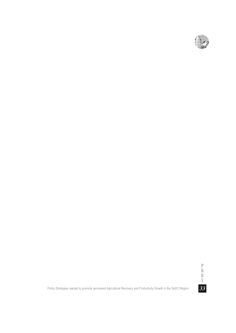